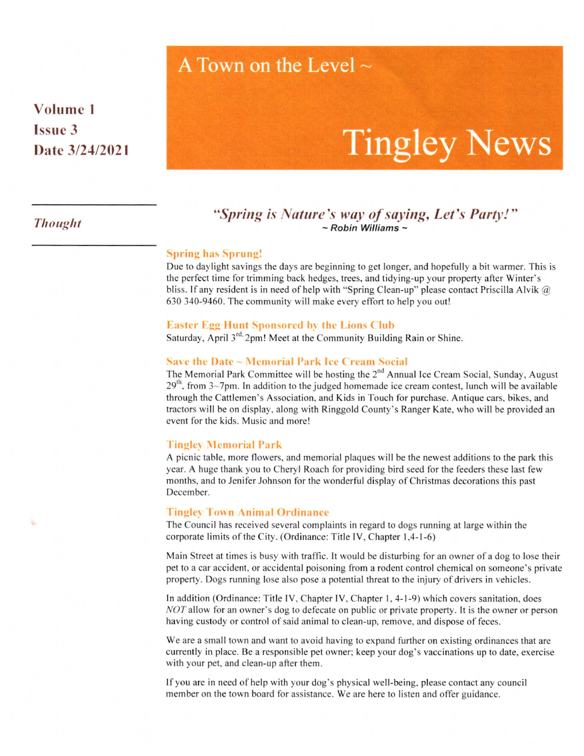# A Town on the Level  $\sim$

Volume I lssue 3 Date 3/24/2021

# Tingley News

# Thought "Spring is Nature's way of saying, Let's Party!"<br>  $\sim$ Robin Williams ~ "s‐

#### Spring has Sprung!

Due to daylight savings the days are beginning to get longer, and hopefully a bit warmer. This is the perfect time for trimming back hedges, trees, and tidying-up your property after Winter's bliss. If any resident is in need of help with "Spring Clean-up" please contact Priscilla Alvik  $\omega$ 630 340-9460. The community will make every effort to help you out!

#### Easter Egg Hunt Sponsored by the Lions Club

Saturday, April  $3<sup>rd</sup>$  2pm! Meet at the Community Building Rain or Shine.

### Save the Date  $\sim$  Memorial Park Ice Cream Social

The Memorial Park Committee will be hosting the  $2<sup>nd</sup>$  Annual Ice Cream Social, Sunday, August  $29<sup>th</sup>$ , from  $3~7$ pm. In addition to the judged homemade ice cream contest, lunch will be available through the Cattlemen's Association, and Kids in Touch for purchase. Antique cars, bikes, and tractors will be on display, along with Ringgold County's Ranger Kate, who will be provided an event for the kids. Music and more!

#### Tingley Memorial Park

A picnic table, more flowers. and memorial plaques will be the newest additions to the park this year. A huge thank you to Cheryl Roach for providing bird seed for the feeders these last few months, and to Jenifer Johnson for the wonderful display of Christmas decorations this past December.

#### Tingley Town Animal Ordinance

The Council has received several complaints in regard to dogs running at large within the corporate limits of the City. (Ordinance: Title IV, Chapter 1,4-1-6)

Main Street at times is busy with traffic. It would be disturbing for an owner of a dog to lose their pet to a car accident, or accidental poisoning from a todent control chemical on someone's private property. Dogs running lose also pose a potential threat to the injury of drivers in vehicles.

In addition (Ordinance: Title IV, Chapter IV, Chapter 1, 4-1-9) which covers sanitation, does NOT allow for an owner's dog to defecate on public or private property. It is the owner or person having custody or control of said animal to clean-up, remove, and dispose of feces.

We are a small town and want to avoid having to expand further on existing ordinances that are currently in place. Be a responsible pet owner; keep your dog's vaccinations up to date, exercise with your pet, and clean-up afler them.

If you are in need of help with your dog's physical well-being, please contact any council member on the town board for assistance. We are here to listen and offer guidance.